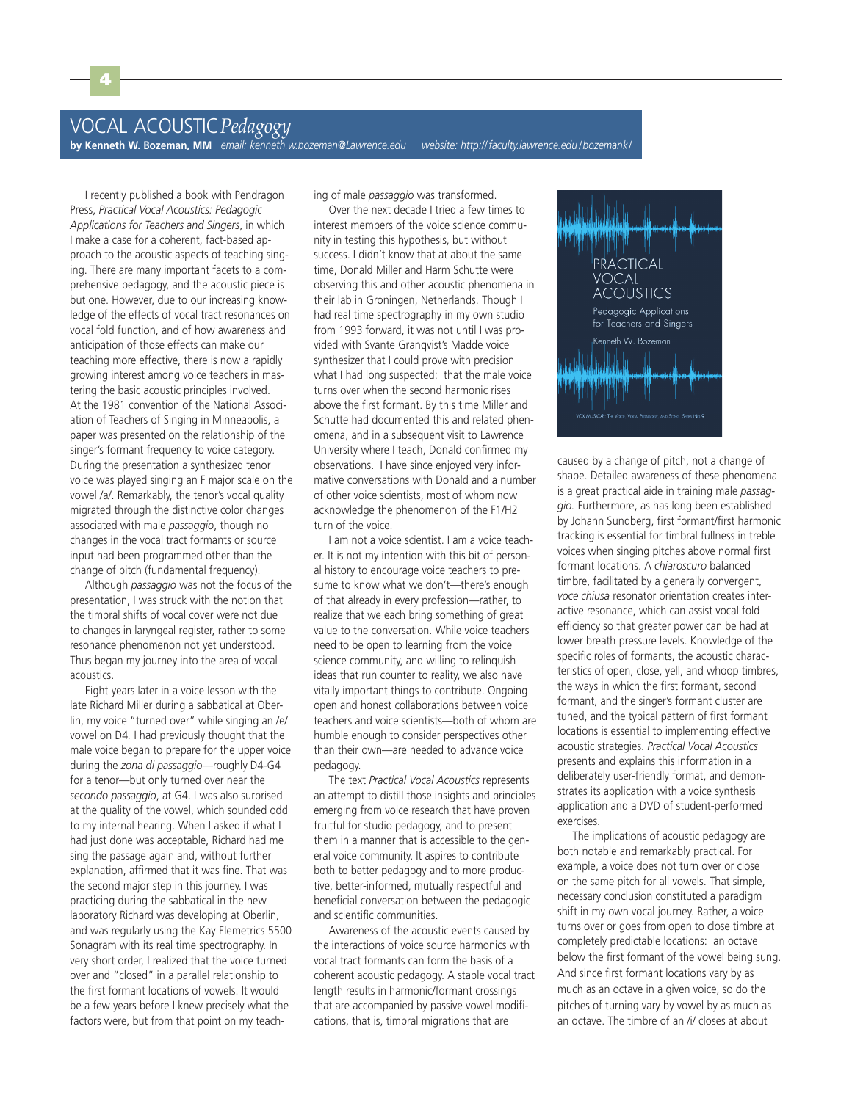I recently published a book with Pendragon Press, *Practical Vocal Acoustics: Pedagogic Applications for Teachers and Singers*, in which I make a case for a coherent, fact-based approach to the acoustic aspects of teaching singing. There are many important facets to a comprehensive pedagogy, and the acoustic piece is but one. However, due to our increasing knowledge of the effects of vocal tract resonances on vocal fold function, and of how awareness and anticipation of those effects can make our teaching more effective, there is now a rapidly growing interest among voice teachers in mastering the basic acoustic principles involved. At the 1981 convention of the National Association of Teachers of Singing in Minneapolis, a paper was presented on the relationship of the singer's formant frequency to voice category. During the presentation a synthesized tenor voice was played singing an F major scale on the vowel /a/. Remarkably, the tenor's vocal quality migrated through the distinctive color changes associated with male *passaggio*, though no changes in the vocal tract formants or source input had been programmed other than the change of pitch (fundamental frequency).

4

Although *passaggio* was not the focus of the presentation, I was struck with the notion that the timbral shifts of vocal cover were not due to changes in laryngeal register, rather to some resonance phenomenon not yet understood. Thus began my journey into the area of vocal acoustics.

Eight years later in a voice lesson with the late Richard Miller during a sabbatical at Oberlin, my voice "turned over" while singing an /e/ vowel on D4*.* I had previously thought that the male voice began to prepare for the upper voice during the *zona di passaggio*—roughly D4-G4 for a tenor—but only turned over near the *secondo passaggio*, at G4. I was also surprised at the quality of the vowel, which sounded odd to my internal hearing. When I asked if what I had just done was acceptable, Richard had me sing the passage again and, without further explanation, affirmed that it was fine. That was the second major step in this journey. I was practicing during the sabbatical in the new laboratory Richard was developing at Oberlin, and was regularly using the Kay Elemetrics 5500 Sonagram with its real time spectrography. In very short order, I realized that the voice turned over and "closed" in a parallel relationship to the first formant locations of vowels. It would be a few years before I knew precisely what the factors were, but from that point on my teaching of male *passaggio* was transformed.

Over the next decade I tried a few times to interest members of the voice science community in testing this hypothesis, but without success. I didn't know that at about the same time, Donald Miller and Harm Schutte were observing this and other acoustic phenomena in their lab in Groningen, Netherlands. Though I had real time spectrography in my own studio from 1993 forward, it was not until I was provided with Svante Granqvist's Madde voice synthesizer that I could prove with precision what I had long suspected: that the male voice turns over when the second harmonic rises above the first formant. By this time Miller and Schutte had documented this and related phenomena, and in a subsequent visit to Lawrence University where I teach, Donald confirmed my observations. I have since enjoyed very informative conversations with Donald and a number of other voice scientists, most of whom now acknowledge the phenomenon of the F1/H2 turn of the voice.

I am not a voice scientist. I am a voice teacher. It is not my intention with this bit of personal history to encourage voice teachers to presume to know what we don't—there's enough of that already in every profession—rather, to realize that we each bring something of great value to the conversation. While voice teachers need to be open to learning from the voice science community, and willing to relinquish ideas that run counter to reality, we also have vitally important things to contribute. Ongoing open and honest collaborations between voice teachers and voice scientists—both of whom are humble enough to consider perspectives other than their own—are needed to advance voice pedagogy.

The text *Practical Vocal Acoustics* represents an attempt to distill those insights and principles emerging from voice research that have proven fruitful for studio pedagogy, and to present them in a manner that is accessible to the general voice community. It aspires to contribute both to better pedagogy and to more productive, better-informed, mutually respectful and beneficial conversation between the pedagogic and scientific communities.

Awareness of the acoustic events caused by the interactions of voice source harmonics with vocal tract formants can form the basis of a coherent acoustic pedagogy. A stable vocal tract length results in harmonic/formant crossings that are accompanied by passive vowel modifications, that is, timbral migrations that are



caused by a change of pitch, not a change of shape. Detailed awareness of these phenomena is a great practical aide in training male *passaggio.* Furthermore, as has long been established by Johann Sundberg, first formant/first harmonic tracking is essential for timbral fullness in treble voices when singing pitches above normal first formant locations. A *chiaroscuro* balanced timbre, facilitated by a generally convergent, *voce chiusa* resonator orientation creates interactive resonance, which can assist vocal fold efficiency so that greater power can be had at lower breath pressure levels. Knowledge of the specific roles of formants, the acoustic characteristics of open, close, yell, and whoop timbres, the ways in which the first formant, second formant, and the singer's formant cluster are tuned, and the typical pattern of first formant locations is essential to implementing effective acoustic strategies. *Practical Vocal Acoustics* presents and explains this information in a deliberately user-friendly format, and demonstrates its application with a voice synthesis application and a DVD of student-performed exercises.

The implications of acoustic pedagogy are both notable and remarkably practical. For example, a voice does not turn over or close on the same pitch for all vowels. That simple, necessary conclusion constituted a paradigm shift in my own vocal journey. Rather, a voice turns over or goes from open to close timbre at completely predictable locations: an octave below the first formant of the vowel being sung. And since first formant locations vary by as much as an octave in a given voice, so do the pitches of turning vary by vowel by as much as an octave. The timbre of an /i/ closes at about